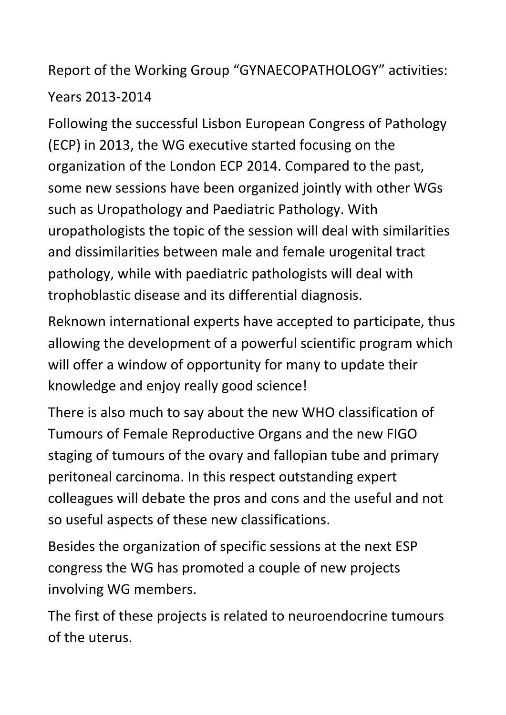## Report of the Working Group "GYNAECOPATHOLOGY" activities: Years 2013-2014

Following the successful Lisbon European Congress of Pathology (ECP) in 2013, the WG executive started focusing on the organization of the London ECP 2014. Compared to the past, some new sessions have been organized jointly with other WGs such as Uropathology and Paediatric Pathology. With uropathologists the topic of the session will deal with similarities and dissimilarities between male and female urogenital tract pathology, while with paediatric pathologists will deal with trophoblastic disease and its differential diagnosis.

Reknown international experts have accepted to participate, thus allowing the development of a powerful scientific program which will offer a window of opportunity for many to update their knowledge and enjoy really good science!

There is also much to say about the new WHO classification of Tumours of Female Reproductive Organs and the new FIGO staging of tumours of the ovary and fallopian tube and primary peritoneal carcinoma. In this respect outstanding expert colleagues will debate the pros and cons and the useful and not so useful aspects of these new classifications.

Besides the organization of specific sessions at the next ESP congress the WG has promoted a couple of new projects involving WG members.

The first of these projects is related to neuroendocrine tumours of the uterus.